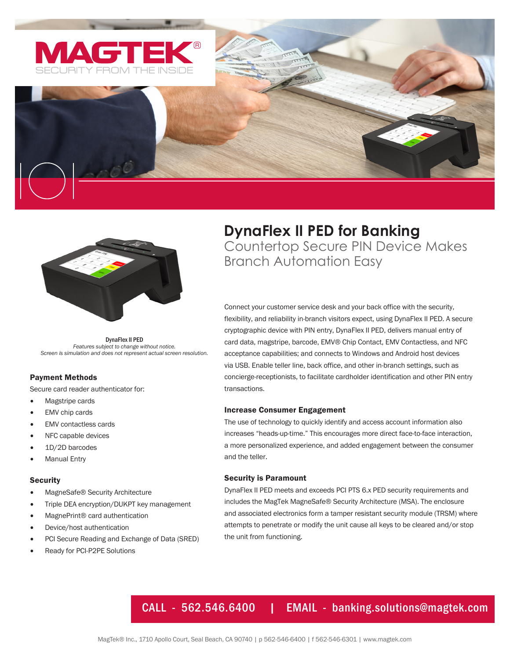





DynaFlex II PED *Features subject to change without notice. Screen is simulation and does not represent actual screen resolution.*

# Payment Methods

Secure card reader authenticator for:

- Magstripe cards
- EMV chip cards
- EMV contactless cards
- NFC capable devices
- 1D/2D barcodes
- **Manual Entry**

## **Security**

- MagneSafe® Security Architecture
- Triple DEA encryption/DUKPT key management
- MagnePrint® card authentication
- Device/host authentication
- PCI Secure Reading and Exchange of Data (SRED)
- Ready for PCI-P2PE Solutions

# **DynaFlex II PED for Banking** Countertop Secure PIN Device Makes Branch Automation Easy

Connect your customer service desk and your back office with the security, flexibility, and reliability in-branch visitors expect, using DynaFlex II PED. A secure cryptographic device with PIN entry, DynaFlex II PED, delivers manual entry of card data, magstripe, barcode, EMV® Chip Contact, EMV Contactless, and NFC acceptance capabilities; and connects to Windows and Android host devices via USB. Enable teller line, back office, and other in-branch settings, such as concierge-receptionists, to facilitate cardholder identification and other PIN entry transactions.

## Increase Consumer Engagement

The use of technology to quickly identify and access account information also increases "heads-up-time." This encourages more direct face-to-face interaction, a more personalized experience, and added engagement between the consumer and the teller.

#### Security is Paramount

DynaFlex II PED meets and exceeds PCI PTS 6.x PED security requirements and includes the MagTek MagneSafe® Security Architecture (MSA). The enclosure and associated electronics form a tamper resistant security module (TRSM) where attempts to penetrate or modify the unit cause all keys to be cleared and/or stop the unit from functioning.

# CALL - 562.546.6400 | EMAIL - banking.solutions@magtek.com